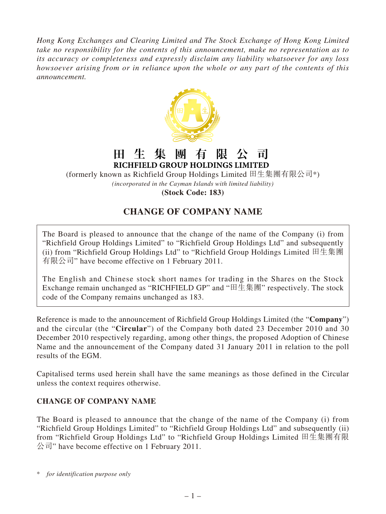*Hong Kong Exchanges and Clearing Limited and The Stock Exchange of Hong Kong Limited take no responsibility for the contents of this announcement, make no representation as to its accuracy or completeness and expressly disclaim any liability whatsoever for any loss howsoever arising from or in reliance upon the whole or any part of the contents of this announcement.*



## 田 生 集 團 有 限 亽 ਸੀ RICHFIELD GROUP HOLDINGS LIMITED

(formerly known as Richfield Group Holdings Limited 田生集團有限公司\*) *(incorporated in the Cayman Islands with limited liability)* **(Stock Code: 183)**

## **CHANGE OF COMPANY NAME**

The Board is pleased to announce that the change of the name of the Company (i) from "Richfield Group Holdings Limited" to "Richfield Group Holdings Ltd" and subsequently (ii) from "Richfield Group Holdings Ltd" to "Richfield Group Holdings Limited 田生集團 有限公司" have become effective on 1 February 2011.

The English and Chinese stock short names for trading in the Shares on the Stock Exchange remain unchanged as "RICHFIELD GP" and "田生集團" respectively. The stock code of the Company remains unchanged as 183.

Reference is made to the announcement of Richfield Group Holdings Limited (the "**Company**") and the circular (the "**Circular**") of the Company both dated 23 December 2010 and 30 December 2010 respectively regarding, among other things, the proposed Adoption of Chinese Name and the announcement of the Company dated 31 January 2011 in relation to the poll results of the EGM.

Capitalised terms used herein shall have the same meanings as those defined in the Circular unless the context requires otherwise.

## **CHANGE OF COMPANY NAME**

The Board is pleased to announce that the change of the name of the Company (i) from "Richfield Group Holdings Limited" to "Richfield Group Holdings Ltd" and subsequently (ii) from "Richfield Group Holdings Ltd" to "Richfield Group Holdings Limited 田生集團有限 公司" have become effective on 1 February 2011.

\* *for identification purpose only*